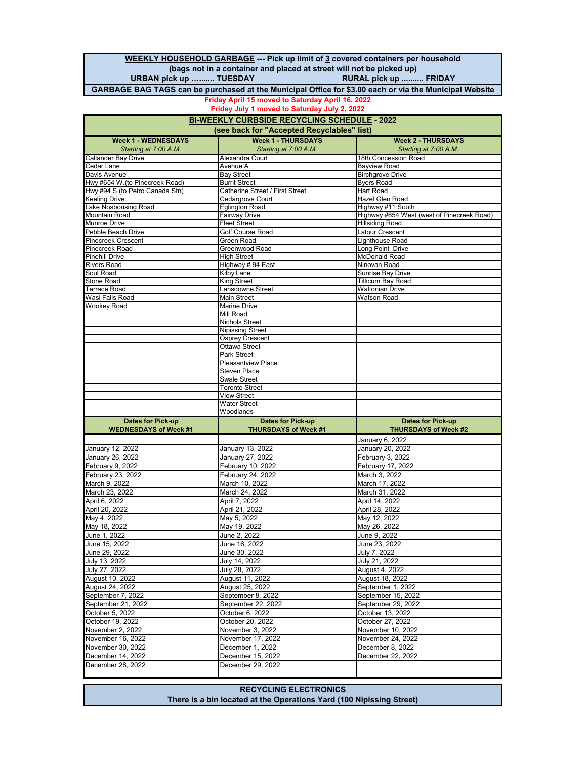**WEEKLY HOUSEHOLD GARBAGE --- Pick up limit of 3 covered containers per household (bags not in a container and placed at street will not be picked up) URBAN pick up .......... TUESDAY GARBAGE BAG TAGS can be purchased at the Municipal Office for \$3.00 each or via the Municipal Website**

#### **Friday April 15 moved to Saturday April 16, 2022**

**Friday July 1 moved to Saturday July 2, 2022**

| <b>BI-WEEKLY CURBSIDE RECYCLING SCHEDULE - 2022</b> |                                           |                                              |
|-----------------------------------------------------|-------------------------------------------|----------------------------------------------|
| (see back for "Accepted Recyclables" list)          |                                           |                                              |
| <b>Week 1 - WEDNESDAYS</b>                          | <b>Week 1 - THURSDAYS</b>                 | <b>Week 2 - THURSDAYS</b>                    |
| Starting at 7:00 A.M.                               | Starting at 7:00 A.M.                     | Starting at 7:00 A.M.                        |
| Callander Bay Drive                                 | Alexandra Court                           | 18th Concession Road                         |
| Cedar Lane                                          | Avenue A                                  | <b>Bayview Road</b>                          |
| Davis Avenue<br>Hwy #654 W.(to Pinecreek Road)      | <b>Bay Street</b><br><b>Burrit Street</b> | <b>Birchgrove Drive</b><br><b>Byers Road</b> |
| Hwy #94 S. (to Petro Canada Stn)                    | Catherine Street / First Street           | Hart Road                                    |
| Keeling Drive                                       | Cedargrove Court                          | Hazel Glen Road                              |
| ake Nosbonsing Road                                 | <b>Eglington Road</b>                     | Highway #11 South                            |
| Mountain Road                                       | Fairway Drive                             | Highway #654 West (west of Pinecreek Road)   |
| Munroe Drive                                        | <b>Fleet Street</b>                       | <b>Hillsiding Road</b>                       |
| Pebble Beach Drive                                  | Golf Course Road                          | Latour Crescent                              |
| Pinecreek Crescent                                  | <b>Green Road</b>                         | Lighthouse Road                              |
| Pinecreek Road                                      | Greenwood Road                            | Long Point Drive                             |
| Pinehill Drive<br><b>Rivers Road</b>                | <b>High Street</b><br>Highway # 94 East   | McDonald Road<br>Ninovan Road                |
| Soul Road                                           | <b>Kilby Lane</b>                         | <b>Sunrise Bay Drive</b>                     |
| Stone Road                                          | King Street                               | <b>Tillicum Bay Road</b>                     |
| Terrace Road                                        | Lansdowne Street                          | <b>Waltonian Drive</b>                       |
| Wasi Falls Road                                     | Main Street                               | <b>Watson Road</b>                           |
| <b>Wookey Road</b>                                  | Marine Drive                              |                                              |
|                                                     | Mill Road                                 |                                              |
|                                                     | <b>Nichols Street</b>                     |                                              |
|                                                     | Nipissing Street                          |                                              |
|                                                     | <b>Osprey Crescent</b><br>Ottawa Street   |                                              |
|                                                     | Park Street                               |                                              |
|                                                     | <b>Pleasantview Place</b>                 |                                              |
|                                                     | <b>Steven Place</b>                       |                                              |
|                                                     | <b>Swale Street</b>                       |                                              |
|                                                     | <b>Toronto Street</b>                     |                                              |
|                                                     | <b>View Street</b>                        |                                              |
|                                                     | <b>Water Street</b>                       |                                              |
| <b>Dates for Pick-up</b>                            | Woodlands<br><b>Dates for Pick-up</b>     | <b>Dates for Pick-up</b>                     |
| <b>WEDNESDAYS of Week #1</b>                        | <b>THURSDAYS of Week #1</b>               | <b>THURSDAYS of Week #2</b>                  |
|                                                     |                                           | January 6, 2022                              |
| January 12, 2022                                    | January 13, 2022                          | January 20, 2022                             |
| January 26, 2022                                    | January 27, 2022                          | February 3, 2022                             |
| February 9, 2022                                    | February 10, 2022                         | February 17, 2022                            |
| February 23, 2022                                   | February 24, 2022                         | March 3, 2022                                |
| March 9, 2022                                       | March 10, 2022                            | March 17, 2022                               |
| March 23, 2022                                      | March 24, 2022                            | March 31, 2022                               |
| April 6, 2022                                       | April 7, 2022                             | April 14, 2022                               |
| April 20, 2022                                      | April 21, 2022                            | April 28, 2022                               |
| May 4, 2022                                         | May 5, 2022                               | May 12, 2022                                 |
| May 18, 2022                                        | May 19, 2022                              | May 26, 2022                                 |
| June 1, 2022                                        | June 2, 2022                              | June 9, 2022                                 |
| June 15, 2022                                       | June 16, 2022                             | June 23, 2022                                |
| June 29, 2022                                       | June 30, 2022                             | July 7, 2022                                 |
| July 13, 2022                                       | July 14, 2022                             | July 21, 2022                                |
| July 27, 2022                                       | July 28, 2022                             | August 4, 2022                               |
| August 10, 2022                                     | August 11, 2022                           | August 18, 2022                              |
| August 24, 2022                                     | August 25, 2022                           | September 1, 2022                            |
| September 7, 2022<br>September 21, 2022             | September 8, 2022<br>September 22, 2022   | September 15, 2022<br>September 29, 2022     |
| October 5, 2022                                     | October 6, 2022                           | October 13, 2022                             |
| October 19, 2022                                    | October 20, 2022                          | October 27, 2022                             |
| November 2, 2022                                    | November 3, 2022                          | November 10, 2022                            |
| November 16, 2022                                   | November 17, 2022                         | November 24, 2022                            |
| November 30, 2022                                   | December 1, 2022                          | December 8, 2022                             |
| December 14, 2022                                   | December 15, 2022                         | December 22, 2022                            |
| December 28, 2022                                   | December 29, 2022                         |                                              |
|                                                     |                                           |                                              |
|                                                     |                                           |                                              |

**RECYCLING ELECTRONICS There is a bin located at the Operations Yard (100 Nipissing Street)**